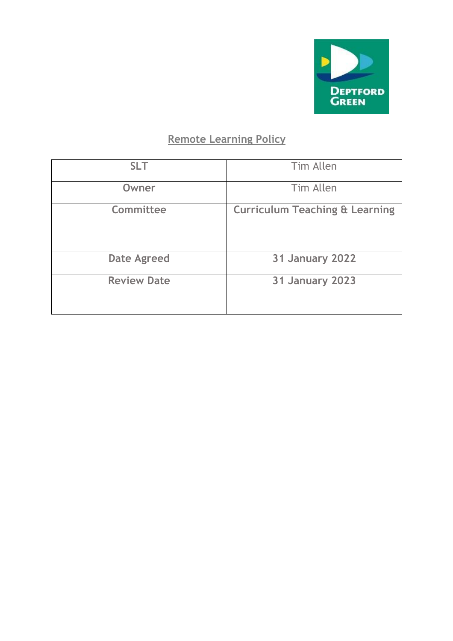

# **Remote Learning Policy**

| <b>SLT</b>         | Tim Allen                                 |  |
|--------------------|-------------------------------------------|--|
| Owner              | Tim Allen                                 |  |
| Committee          | <b>Curriculum Teaching &amp; Learning</b> |  |
| <b>Date Agreed</b> | <b>31 January 2022</b>                    |  |
| <b>Review Date</b> | <b>31 January 2023</b>                    |  |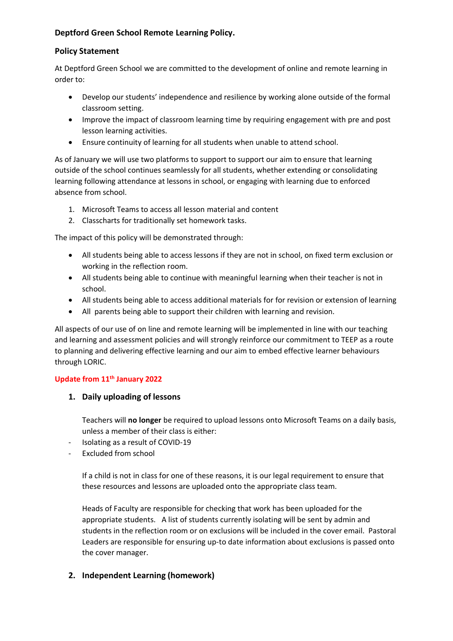# **Deptford Green School Remote Learning Policy.**

## **Policy Statement**

At Deptford Green School we are committed to the development of online and remote learning in order to:

- Develop our students' independence and resilience by working alone outside of the formal classroom setting.
- Improve the impact of classroom learning time by requiring engagement with pre and post lesson learning activities.
- Ensure continuity of learning for all students when unable to attend school.

As of January we will use two platforms to support to support our aim to ensure that learning outside of the school continues seamlessly for all students, whether extending or consolidating learning following attendance at lessons in school, or engaging with learning due to enforced absence from school.

- 1. Microsoft Teams to access all lesson material and content
- 2. Classcharts for traditionally set homework tasks.

The impact of this policy will be demonstrated through:

- All students being able to access lessons if they are not in school, on fixed term exclusion or working in the reflection room.
- All students being able to continue with meaningful learning when their teacher is not in school.
- All students being able to access additional materials for for revision or extension of learning
- All parents being able to support their children with learning and revision.

All aspects of our use of on line and remote learning will be implemented in line with our teaching and learning and assessment policies and will strongly reinforce our commitment to TEEP as a route to planning and delivering effective learning and our aim to embed effective learner behaviours through LORIC.

## **Update from 11th January 2022**

#### **1. Daily uploading of lessons**

Teachers will **no longer** be required to upload lessons onto Microsoft Teams on a daily basis, unless a member of their class is either:

- Isolating as a result of COVID-19
- Excluded from school

If a child is not in class for one of these reasons, it is our legal requirement to ensure that these resources and lessons are uploaded onto the appropriate class team.

Heads of Faculty are responsible for checking that work has been uploaded for the appropriate students. A list of students currently isolating will be sent by admin and students in the reflection room or on exclusions will be included in the cover email. Pastoral Leaders are responsible for ensuring up-to date information about exclusions is passed onto the cover manager.

#### **2. Independent Learning (homework)**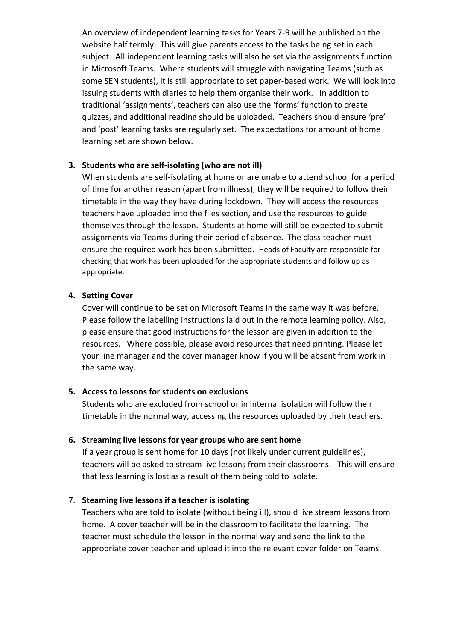An overview of independent learning tasks for Years 7-9 will be published on the website half termly. This will give parents access to the tasks being set in each subject. All independent learning tasks will also be set via the assignments function in Microsoft Teams. Where students will struggle with navigating Teams (such as some SEN students), it is still appropriate to set paper-based work. We will look into issuing students with diaries to help them organise their work. In addition to traditional 'assignments', teachers can also use the 'forms' function to create quizzes, and additional reading should be uploaded. Teachers should ensure 'pre' and 'post' learning tasks are regularly set. The expectations for amount of home learning set are shown below.

## **3. Students who are self-isolating (who are not ill)**

When students are self-isolating at home or are unable to attend school for a period of time for another reason (apart from illness), they will be required to follow their timetable in the way they have during lockdown. They will access the resources teachers have uploaded into the files section, and use the resources to guide themselves through the lesson. Students at home will still be expected to submit assignments via Teams during their period of absence. The class teacher must ensure the required work has been submitted. Heads of Faculty are responsible for checking that work has been uploaded for the appropriate students and follow up as appropriate.

## **4. Setting Cover**

Cover will continue to be set on Microsoft Teams in the same way it was before. Please follow the labelling instructions laid out in the remote learning policy. Also, please ensure that good instructions for the lesson are given in addition to the resources. Where possible, please avoid resources that need printing. Please let your line manager and the cover manager know if you will be absent from work in the same way.

# **5. Access to lessons for students on exclusions**

Students who are excluded from school or in internal isolation will follow their timetable in the normal way, accessing the resources uploaded by their teachers.

# **6. Streaming live lessons for year groups who are sent home**

If a year group is sent home for 10 days (not likely under current guidelines), teachers will be asked to stream live lessons from their classrooms. This will ensure that less learning is lost as a result of them being told to isolate.

# 7. **Steaming live lessons if a teacher is isolating**

Teachers who are told to isolate (without being ill), should live stream lessons from home. A cover teacher will be in the classroom to facilitate the learning. The teacher must schedule the lesson in the normal way and send the link to the appropriate cover teacher and upload it into the relevant cover folder on Teams.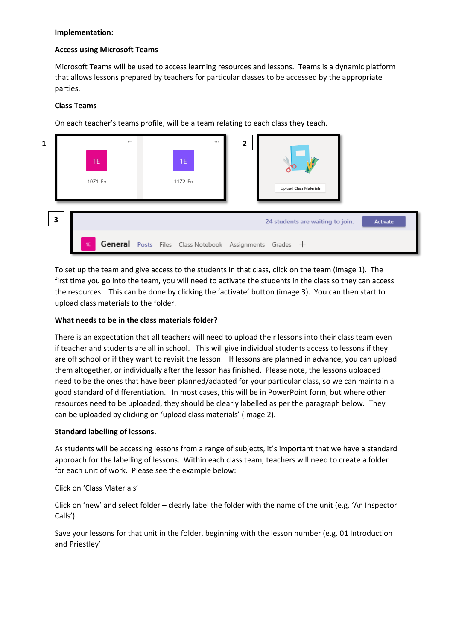#### **Implementation:**

#### **Access using Microsoft Teams**

Microsoft Teams will be used to access learning resources and lessons. Teams is a dynamic platform that allows lessons prepared by teachers for particular classes to be accessed by the appropriate parties.

#### **Class Teams**

On each teacher's teams profile, will be a team relating to each class they teach.



To set up the team and give access to the students in that class, click on the team (image 1). The first time you go into the team, you will need to activate the students in the class so they can access the resources. This can be done by clicking the 'activate' button (image 3). You can then start to upload class materials to the folder.

#### **What needs to be in the class materials folder?**

There is an expectation that all teachers will need to upload their lessons into their class team even if teacher and students are all in school. This will give individual students access to lessons if they are off school or if they want to revisit the lesson. If lessons are planned in advance, you can upload them altogether, or individually after the lesson has finished. Please note, the lessons uploaded need to be the ones that have been planned/adapted for your particular class, so we can maintain a good standard of differentiation. In most cases, this will be in PowerPoint form, but where other resources need to be uploaded, they should be clearly labelled as per the paragraph below. They can be uploaded by clicking on 'upload class materials' (image 2).

#### **Standard labelling of lessons.**

As students will be accessing lessons from a range of subjects, it's important that we have a standard approach for the labelling of lessons. Within each class team, teachers will need to create a folder for each unit of work. Please see the example below:

#### Click on 'Class Materials'

Click on 'new' and select folder – clearly label the folder with the name of the unit (e.g. 'An Inspector Calls')

Save your lessons for that unit in the folder, beginning with the lesson number (e.g. 01 Introduction and Priestley'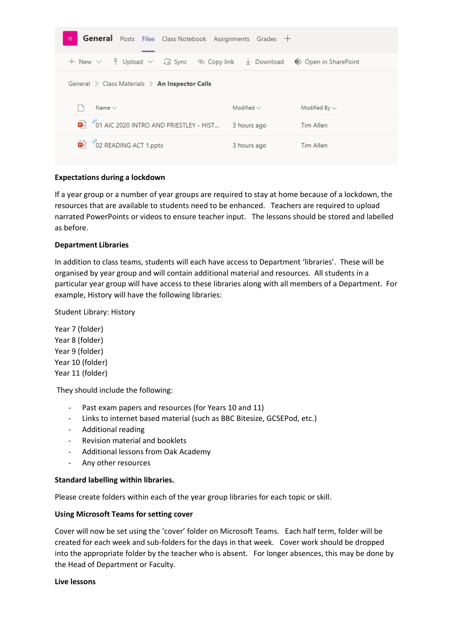| <b>General</b> Posts Files Class Notebook Assignments Grades +<br>1E                                                  |                 |                      |
|-----------------------------------------------------------------------------------------------------------------------|-----------------|----------------------|
| $+$ New $\vee$ $\bar{\uparrow}$ Upload $\vee$ $\hat{\mathbb{G}}$ Sync $\otimes$ Copy link $\bar{\downarrow}$ Download |                 | Spoken in SharePoint |
| General $\geq$ Class Materials $\geq$ An Inspector Calls                                                              |                 |                      |
| Name $\vee$                                                                                                           | Modified $\vee$ | Modified By $\vee$   |
| $\overline{2}$ $\overline{6}$ $\overline{1}$ $\overline{2}$ 01 AIC 2020 INTRO AND PRIESTLEY - HIST                    | 3 hours ago     | Tim Allen            |
| $\overline{2}$ $\overline{0}$ 2 READING ACT 1.pptx                                                                    | 3 hours ago     | Tim Allen            |
|                                                                                                                       |                 |                      |

## **Expectations during a lockdown**

If a year group or a number of year groups are required to stay at home because of a lockdown, the resources that are available to students need to be enhanced. Teachers are required to upload narrated PowerPoints or videos to ensure teacher input. The lessons should be stored and labelled as before.

## **Department Libraries**

In addition to class teams, students will each have access to Department 'libraries'. These will be organised by year group and will contain additional material and resources. All students in a particular year group will have access to these libraries along with all members of a Department. For example, History will have the following libraries:

Student Library: History

Year 7 (folder) Year 8 (folder) Year 9 (folder) Year 10 (folder) Year 11 (folder)

They should include the following:

- Past exam papers and resources (for Years 10 and 11)
- Links to internet based material (such as BBC Bitesize, GCSEPod, etc.)
- Additional reading
- Revision material and booklets
- Additional lessons from Oak Academy
- Any other resources

#### **Standard labelling within libraries.**

Please create folders within each of the year group libraries for each topic or skill.

#### **Using Microsoft Teams for setting cover**

Cover will now be set using the 'cover' folder on Microsoft Teams. Each half term, folder will be created for each week and sub-folders for the days in that week. Cover work should be dropped into the appropriate folder by the teacher who is absent. For longer absences, this may be done by the Head of Department or Faculty.

#### **Live lessons**